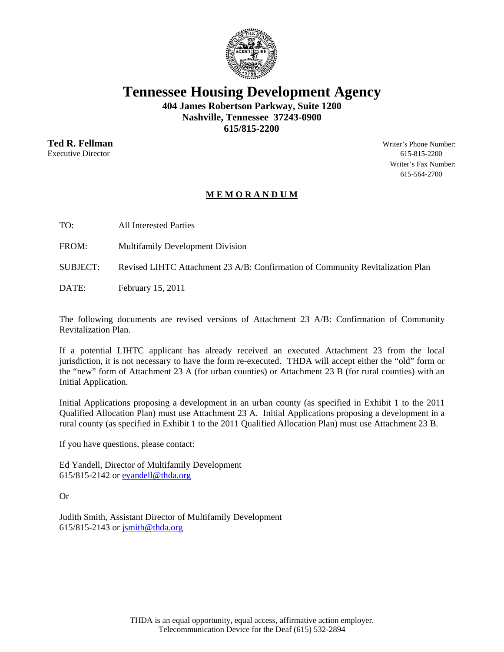

**Tennessee Housing Development Agency** 

404 James Robertson Parkway, Suite 1200 Nashville, Tennessee 37243-0900 615/815-2200

**Ted R. Fellman Executive Director** 

Writer's Phone Number: 615-815-2200 Writer's Fax Number: 615-564-2700

# MEMORANDUM

TO: **All Interested Parties** 

FROM: **Multifamily Development Division** 

**SUBJECT:** Revised LIHTC Attachment 23 A/B: Confirmation of Community Revitalization Plan

 $DATE$ February 15, 2011

The following documents are revised versions of Attachment 23 A/B: Confirmation of Community Revitalization Plan.

If a potential LIHTC applicant has already received an executed Attachment 23 from the local jurisdiction, it is not necessary to have the form re-executed. THDA will accept either the "old" form or the "new" form of Attachment 23 A (for urban counties) or Attachment 23 B (for rural counties) with an Initial Application.

Initial Applications proposing a development in an urban county (as specified in Exhibit 1 to the 2011 Qualified Allocation Plan) must use Attachment 23 A. Initial Applications proposing a development in a rural county (as specified in Exhibit 1 to the 2011 Qualified Allocation Plan) must use Attachment 23 B.

If you have questions, please contact:

Ed Yandell, Director of Multifamily Development 615/815-2142 or eyandell@thda.org

 $Or$ 

Judith Smith, Assistant Director of Multifamily Development  $615/815-2143$  or  $\overline{\text{simith}\omega\text{thda.org}}$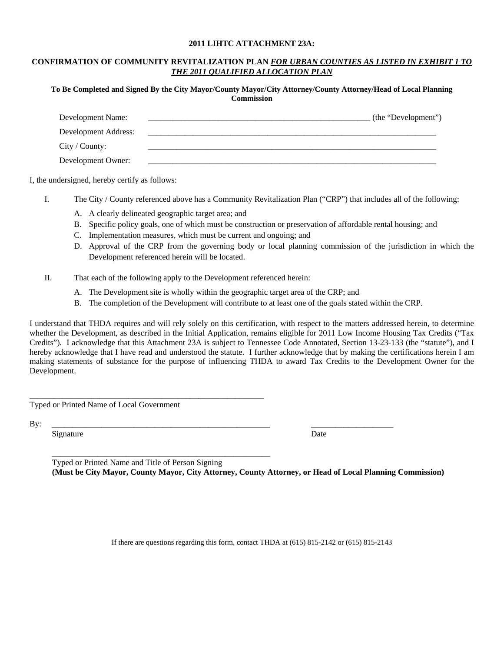#### **2011 LIHTC ATTACHMENT 23A:**

## **CONFIRMATION OF COMMUNITY REVITALIZATION PLAN** *FOR URBAN COUNTIES AS LISTED IN EXHIBIT 1 TO THE 2011 QUALIFIED ALLOCATION PLAN*

**To Be Completed and Signed By the City Mayor/County Mayor/City Attorney/County Attorney/Head of Local Planning Commission** 

| Development Name:    | (the "Development") |
|----------------------|---------------------|
| Development Address: |                     |
| City / County:       |                     |
| Development Owner:   |                     |

I, the undersigned, hereby certify as follows:

- I. The City / County referenced above has a Community Revitalization Plan ("CRP") that includes all of the following:
	- A. A clearly delineated geographic target area; and
	- B. Specific policy goals, one of which must be construction or preservation of affordable rental housing; and
	- C. Implementation measures, which must be current and ongoing; and
	- D. Approval of the CRP from the governing body or local planning commission of the jurisdiction in which the Development referenced herein will be located.
- II. That each of the following apply to the Development referenced herein:
	- A. The Development site is wholly within the geographic target area of the CRP; and
	- B. The completion of the Development will contribute to at least one of the goals stated within the CRP.

I understand that THDA requires and will rely solely on this certification, with respect to the matters addressed herein, to determine whether the Development, as described in the Initial Application, remains eligible for 2011 Low Income Housing Tax Credits ("Tax Credits"). I acknowledge that this Attachment 23A is subject to Tennessee Code Annotated, Section 13-23-133 (the "statute"), and I hereby acknowledge that I have read and understood the statute. I further acknowledge that by making the certifications herein I am making statements of substance for the purpose of influencing THDA to award Tax Credits to the Development Owner for the Development.

Typed or Printed Name of Local Government

\_\_\_\_\_\_\_\_\_\_\_\_\_\_\_\_\_\_\_\_\_\_\_\_\_\_\_\_\_\_\_\_\_\_\_\_\_\_\_\_\_\_\_\_\_\_\_\_\_\_\_\_\_\_\_\_\_

By: \_\_\_\_\_\_\_\_\_\_\_\_\_\_\_\_\_\_\_\_\_\_\_\_\_\_\_\_\_\_\_\_\_\_\_\_\_\_\_\_\_\_\_\_\_\_\_\_\_\_\_\_\_ \_\_\_\_\_\_\_\_\_\_\_\_\_\_\_\_\_\_\_\_

Signature Date

\_\_\_\_\_\_\_\_\_\_\_\_\_\_\_\_\_\_\_\_\_\_\_\_\_\_\_\_\_\_\_\_\_\_\_\_\_\_\_\_\_\_\_\_\_\_\_\_\_\_\_\_\_ Typed or Printed Name and Title of Person Signing **(Must be City Mayor, County Mayor, City Attorney, County Attorney, or Head of Local Planning Commission)** 

If there are questions regarding this form, contact THDA at (615) 815-2142 or (615) 815-2143